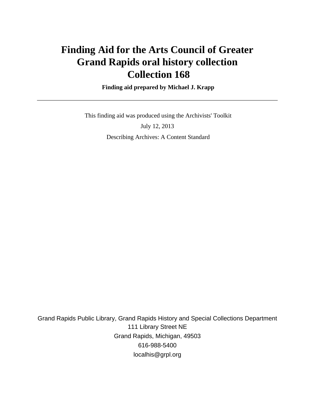# **Finding Aid for the Arts Council of Greater Grand Rapids oral history collection Collection 168**

 **Finding aid prepared by Michael J. Krapp**

 This finding aid was produced using the Archivists' Toolkit July 12, 2013 Describing Archives: A Content Standard

Grand Rapids Public Library, Grand Rapids History and Special Collections Department 111 Library Street NE Grand Rapids, Michigan, 49503 616-988-5400 localhis@grpl.org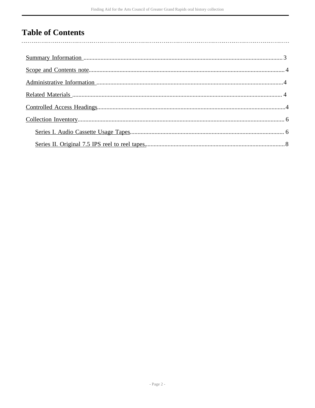## **Table of Contents**

 $\overline{\phantom{a}}$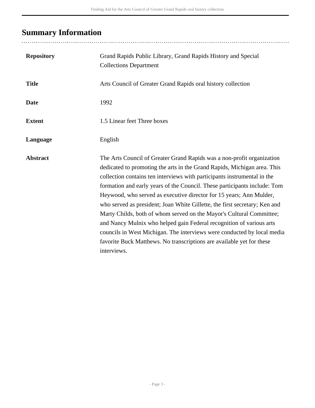# <span id="page-2-0"></span>**Summary Information**

| <b>Repository</b> | Grand Rapids Public Library, Grand Rapids History and Special<br><b>Collections Department</b>                                                                                                                                                                                                                                                                                                                                                                                                                                                                                                                                                                                                                                                                                      |
|-------------------|-------------------------------------------------------------------------------------------------------------------------------------------------------------------------------------------------------------------------------------------------------------------------------------------------------------------------------------------------------------------------------------------------------------------------------------------------------------------------------------------------------------------------------------------------------------------------------------------------------------------------------------------------------------------------------------------------------------------------------------------------------------------------------------|
| <b>Title</b>      | Arts Council of Greater Grand Rapids oral history collection                                                                                                                                                                                                                                                                                                                                                                                                                                                                                                                                                                                                                                                                                                                        |
| <b>Date</b>       | 1992                                                                                                                                                                                                                                                                                                                                                                                                                                                                                                                                                                                                                                                                                                                                                                                |
| <b>Extent</b>     | 1.5 Linear feet Three boxes                                                                                                                                                                                                                                                                                                                                                                                                                                                                                                                                                                                                                                                                                                                                                         |
| Language          | English                                                                                                                                                                                                                                                                                                                                                                                                                                                                                                                                                                                                                                                                                                                                                                             |
| <b>Abstract</b>   | The Arts Council of Greater Grand Rapids was a non-profit organization<br>dedicated to promoting the arts in the Grand Rapids, Michigan area. This<br>collection contains ten interviews with participants instrumental in the<br>formation and early years of the Council. These participants include: Tom<br>Heywood, who served as executive director for 15 years; Ann Mulder,<br>who served as president; Joan White Gillette, the first secretary; Ken and<br>Marty Childs, both of whom served on the Mayor's Cultural Committee;<br>and Nancy Mulnix who helped gain Federal recognition of various arts<br>councils in West Michigan. The interviews were conducted by local media<br>favorite Buck Matthews. No transcriptions are available yet for these<br>interviews. |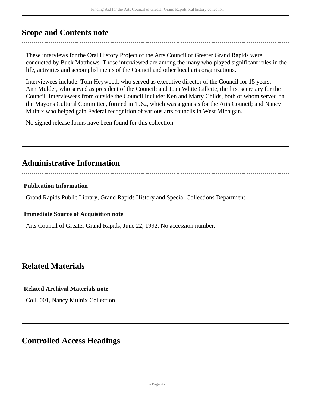### <span id="page-3-0"></span>**Scope and Contents note**

These interviews for the Oral History Project of the Arts Council of Greater Grand Rapids were conducted by Buck Matthews. Those interviewed are among the many who played significant roles in the life, activities and accomplishments of the Council and other local arts organizations.

Interviewees include: Tom Heywood, who served as executive director of the Council for 15 years; Ann Mulder, who served as president of the Council; and Joan White Gillette, the first secretary for the Council. Interviewees from outside the Council Include: Ken and Marty Childs, both of whom served on the Mayor's Cultural Committee, formed in 1962, which was a genesis for the Arts Council; and Nancy Mulnix who helped gain Federal recognition of various arts councils in West Michigan.

No signed release forms have been found for this collection.

## <span id="page-3-1"></span>**Administrative Information**

### **Publication Information**

Grand Rapids Public Library, Grand Rapids History and Special Collections Department

### **Immediate Source of Acquisition note**

Arts Council of Greater Grand Rapids, June 22, 1992. No accession number.

## <span id="page-3-2"></span>**Related Materials**

### **Related Archival Materials note**

Coll. 001, Nancy Mulnix Collection

### <span id="page-3-3"></span>**Controlled Access Headings**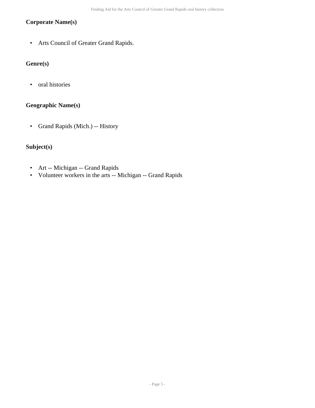### **Corporate Name(s)**

• Arts Council of Greater Grand Rapids.

### **Genre(s)**

• oral histories

### **Geographic Name(s)**

• Grand Rapids (Mich.) -- History

### **Subject(s)**

- Art -- Michigan -- Grand Rapids
- Volunteer workers in the arts -- Michigan -- Grand Rapids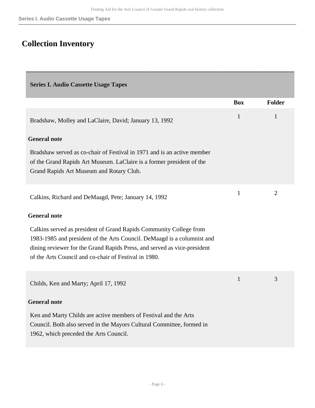## <span id="page-5-0"></span>**Collection Inventory**

<span id="page-5-1"></span>

| <b>Series I. Audio Cassette Usage Tapes</b>                                                                                                                                                                                                                                        |              |                |
|------------------------------------------------------------------------------------------------------------------------------------------------------------------------------------------------------------------------------------------------------------------------------------|--------------|----------------|
|                                                                                                                                                                                                                                                                                    | <b>Box</b>   | <b>Folder</b>  |
| Bradshaw, Molley and LaClaire, David; January 13, 1992                                                                                                                                                                                                                             | $\mathbf{1}$ | $\mathbf{1}$   |
| <b>General note</b>                                                                                                                                                                                                                                                                |              |                |
| Bradshaw served as co-chair of Festival in 1971 and is an active member<br>of the Grand Rapids Art Museum. LaClaire is a former president of the<br>Grand Rapids Art Museum and Rotary Club.                                                                                       |              |                |
| Calkins, Richard and DeMaagd, Pete; January 14, 1992                                                                                                                                                                                                                               | $\mathbf{1}$ | $\overline{2}$ |
| <b>General note</b>                                                                                                                                                                                                                                                                |              |                |
| Calkins served as president of Grand Rapids Community College from<br>1983-1985 and president of the Arts Council. DeMaagd is a columnist and<br>dining reviewer for the Grand Rapids Press, and served as vice-president<br>of the Arts Council and co-chair of Festival in 1980. |              |                |
| Childs, Ken and Marty; April 17, 1992                                                                                                                                                                                                                                              | $\mathbf{1}$ | 3              |
| <b>General note</b>                                                                                                                                                                                                                                                                |              |                |
| Ken and Marty Childs are active members of Festival and the Arts<br>Council. Both also served in the Mayors Cultural Committee, formed in<br>1962, which preceded the Arts Council.                                                                                                |              |                |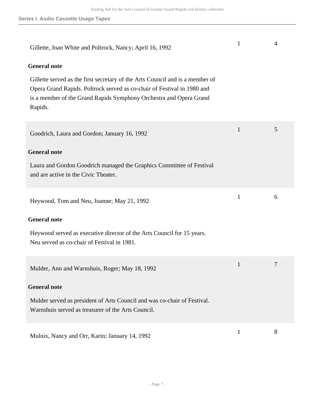| Gillette, Joan White and Poltrock, Nancy; April 16, 1992                                                                                                                                                                                  | 1            | $\overline{4}$ |
|-------------------------------------------------------------------------------------------------------------------------------------------------------------------------------------------------------------------------------------------|--------------|----------------|
| <b>General note</b>                                                                                                                                                                                                                       |              |                |
| Gillette served as the first secretary of the Arts Council and is a member of<br>Opera Grand Rapids. Poltrock served as co-chair of Festival in 1980 and<br>is a member of the Grand Rapids Symphony Orchestra and Opera Grand<br>Rapids. |              |                |
| Goodrich, Laura and Gordon; January 16, 1992                                                                                                                                                                                              | $\mathbf{1}$ | 5              |
| <b>General note</b>                                                                                                                                                                                                                       |              |                |
| Laura and Gordon Goodrich managed the Graphics Committee of Festival<br>and are active in the Civic Theater.                                                                                                                              |              |                |
| Heywood, Tom and Neu, Joanne; May 21, 1992                                                                                                                                                                                                | $\mathbf{1}$ | 6              |
| <b>General note</b>                                                                                                                                                                                                                       |              |                |
| Heywood served as executive director of the Arts Council for 15 years.<br>Neu served as co-chair of Festival in 1981.                                                                                                                     |              |                |
| Mulder, Ann and Warnshuis, Roger; May 18, 1992                                                                                                                                                                                            | 1            | 7              |
| <b>General note</b>                                                                                                                                                                                                                       |              |                |
| Mulder served as president of Arts Council and was co-chair of Festival.<br>Warnshuis served as treasurer of the Arts Council.                                                                                                            |              |                |
| Mulnix, Nancy and Orr, Karin; January 14, 1992                                                                                                                                                                                            | $\mathbf{1}$ | 8              |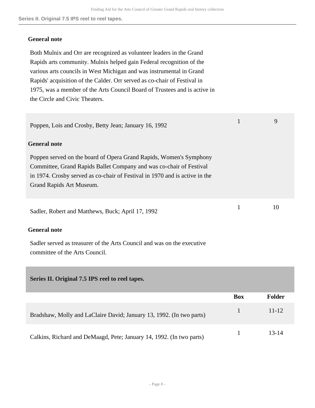**Series II. Original 7.5 IPS reel to reel tapes.**

### **General note**

Both Mulnix and Orr are recognized as volunteer leaders in the Grand Rapids arts community. Mulnix helped gain Federal recognition of the various arts councils in West Michigan and was instrumental in Grand Rapids' acquisition of the Calder. Orr served as co-chair of Festival in 1975, was a member of the Arts Council Board of Trustees and is active in the Circle and Civic Theaters.

| Poppen, Lois and Crosby, Betty Jean; January 16, 1992                                                                                                                                                                                                |              | 9  |
|------------------------------------------------------------------------------------------------------------------------------------------------------------------------------------------------------------------------------------------------------|--------------|----|
| <b>General note</b>                                                                                                                                                                                                                                  |              |    |
| Poppen served on the board of Opera Grand Rapids, Women's Symphony<br>Committee, Grand Rapids Ballet Company and was co-chair of Festival<br>in 1974. Crosby served as co-chair of Festival in 1970 and is active in the<br>Grand Rapids Art Museum. |              |    |
| Sadler, Robert and Matthews, Buck; April 17, 1992                                                                                                                                                                                                    | $\mathbf{1}$ | 10 |
| <b>General note</b>                                                                                                                                                                                                                                  |              |    |
| Sadler served as treasurer of the Arts Council and was on the executive<br>committee of the Arts Council.                                                                                                                                            |              |    |

### <span id="page-7-0"></span>**Series II. Original 7.5 IPS reel to reel tapes.**

|                                                                      | <b>Box</b> | Folder    |
|----------------------------------------------------------------------|------------|-----------|
| Bradshaw, Molly and LaClaire David; January 13, 1992. (In two parts) |            | $11 - 12$ |
| Calkins, Richard and DeMaagd, Pete; January 14, 1992. (In two parts) |            | 13-14     |